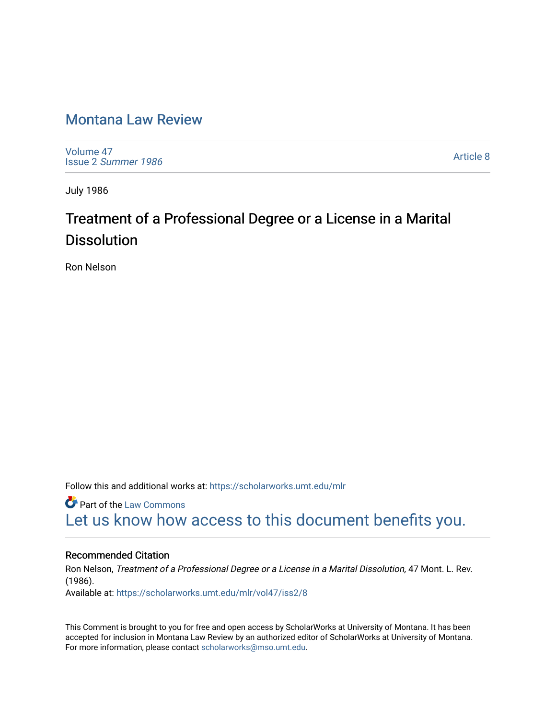# [Montana Law Review](https://scholarworks.umt.edu/mlr)

[Volume 47](https://scholarworks.umt.edu/mlr/vol47) Issue 2 [Summer 1986](https://scholarworks.umt.edu/mlr/vol47/iss2) 

[Article 8](https://scholarworks.umt.edu/mlr/vol47/iss2/8) 

July 1986

# Treatment of a Professional Degree or a License in a Marital **Dissolution**

Ron Nelson

Follow this and additional works at: [https://scholarworks.umt.edu/mlr](https://scholarworks.umt.edu/mlr?utm_source=scholarworks.umt.edu%2Fmlr%2Fvol47%2Fiss2%2F8&utm_medium=PDF&utm_campaign=PDFCoverPages) 

**C** Part of the [Law Commons](http://network.bepress.com/hgg/discipline/578?utm_source=scholarworks.umt.edu%2Fmlr%2Fvol47%2Fiss2%2F8&utm_medium=PDF&utm_campaign=PDFCoverPages) [Let us know how access to this document benefits you.](https://goo.gl/forms/s2rGfXOLzz71qgsB2) 

#### Recommended Citation

Ron Nelson, Treatment of a Professional Degree or a License in a Marital Dissolution, 47 Mont. L. Rev. (1986). Available at: [https://scholarworks.umt.edu/mlr/vol47/iss2/8](https://scholarworks.umt.edu/mlr/vol47/iss2/8?utm_source=scholarworks.umt.edu%2Fmlr%2Fvol47%2Fiss2%2F8&utm_medium=PDF&utm_campaign=PDFCoverPages) 

This Comment is brought to you for free and open access by ScholarWorks at University of Montana. It has been accepted for inclusion in Montana Law Review by an authorized editor of ScholarWorks at University of Montana. For more information, please contact [scholarworks@mso.umt.edu.](mailto:scholarworks@mso.umt.edu)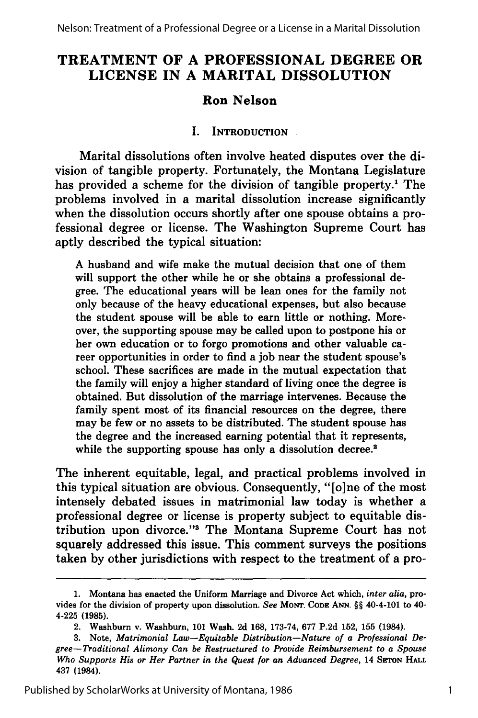# **TREATMENT OF A PROFESSIONAL DEGREE OR LICENSE IN A MARITAL DISSOLUTION**

## **Ron Nelson**

#### **I. INTRODUCTION**

Marital dissolutions often involve heated disputes over the division of tangible property. Fortunately, the Montana Legislature has provided a scheme for the division of tangible property.' The problems involved in a marital dissolution increase significantly when the dissolution occurs shortly after one spouse obtains a professional degree or license. The Washington Supreme Court has aptly described the typical situation:

A husband and wife make the mutual decision that one of them will support the other while he or she obtains a professional degree. The educational years will be lean ones for the family not only because of the heavy educational expenses, but also because the student spouse will be able to earn little or nothing. Moreover, the supporting spouse may be called upon to postpone his or her own education or to forgo promotions and other valuable career opportunities in order to find a job near the student spouse's school. These sacrifices are made in the mutual expectation that the family will enjoy a higher standard of living once the degree is obtained. But dissolution of the marriage intervenes. Because the family spent most of its financial resources on the degree, there may be few or no assets to be distributed. The student spouse has the degree and the increased earning potential that it represents, while the supporting spouse has only a dissolution decree.<sup>2</sup>

The inherent equitable, legal, and practical problems involved in this typical situation are obvious. Consequently, "[o]ne of the most intensely debated issues in matrimonial law today is whether a professional degree or license is property subject to equitable distribution upon divorce."3 The Montana Supreme Court has not squarely addressed this issue. This comment surveys the positions taken by other jurisdictions with respect to the treatment of a pro-

**<sup>1.</sup>** Montana has enacted the Uniform Marriage and Divorce Act which, *inter alia,* provides for the division of property upon dissolution. *See* **MONT. CODE ANN.** §§ 40-4-101 to 40- 4-225 **(1985).**

<sup>2.</sup> Washburn v. Washburn, **101** Wash. **2d 168, 173-74, 677 P.2d 152, 155** (1984).

**<sup>3.</sup>** Note, *Matrimonial Law-Equitable Distribution-Nature of a Professional Degree-Traditional Alimony Can be Restructured to Provide Reimbursement to a Spouse Who Supports His or Her Partner in the Quest for an Advanced Degree,* 14 **SETON HALL** 437 (1984).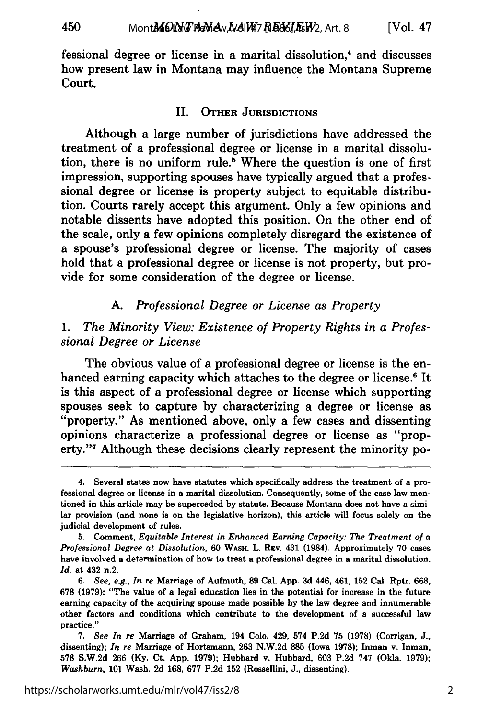fessional degree or license in a marital dissolution,<sup>4</sup> and discusses how present law in Montana may influence the Montana Supreme Court.

450

#### II. **OTHER JURISDICTIONS**

Although a large number of jurisdictions have addressed the treatment of a professional degree or license in a marital dissolution, there is no uniform rule.<sup>5</sup> Where the question is one of first impression, supporting spouses have typically argued that a professional degree or license is property subject to equitable distribution. Courts rarely accept this argument. Only a few opinions and notable dissents have adopted this position. On the other end of the scale, only a few opinions completely disregard the existence of a spouse's professional degree or license. The majority of cases hold that a professional degree or license is not property, but provide for some consideration of the degree or license.

#### *A. Professional Degree or License as Property*

#### *1. The Minority View: Existence of Property Rights in a Professional Degree or License*

The obvious value of a professional degree or license is the enhanced earning capacity which attaches to the degree or license.<sup>6</sup> It is this aspect of a professional degree or license which supporting spouses seek to capture by characterizing a degree or license as "property." As mentioned above, only a few cases and dissenting opinions characterize a professional degree or license as "property."7 Although these decisions clearly represent the minority po-

<sup>4.</sup> Several states now have statutes which specifically address the treatment of a professional degree or license in a marital dissolution. Consequently, some of the case law mentioned in this article may be superceded by statute. Because Montana does not have a similar provision (and none is on the legislative horizon), this article will focus solely on the judicial development of rules.

<sup>5.</sup> Comment, *Equitable Interest in Enhanced Earning Capacity: The Treatment of a Professional Degree at Dissolution,* 60 WASH. L. REv. 431 (1984). Approximately 70 cases have involved a determination of how to treat a professional degree in a marital dissolution. *Id.* at 432 n.2,

*<sup>6.</sup> See, e.g., In re* Marriage of Aufmuth, 89 Cal. App. 3d 446, 461, 152 Cal. Rptr. 668, 678 **(1979):** "The value of a legal education lies in the potential for increase in the future earning capacity of the acquiring spouse made possible by the law degree and innumerable other factors and conditions which contribute to the development of a successful law practice."

<sup>7.</sup> *See In re* Marriage of Graham, 194 Colo. 429, 574 P.2d 75 **(1978)** (Corrigan, J., dissenting); *In re* Marriage of Hortsmann, 263 N.W.2d 885 (Iowa 1978); Inman v. Inman, 578 S.W.2d 266 (Ky. Ct. App. 1979); Hubbard v. Hubbard, 603 P.2d 747 (Okla. 1979); *Washburn,* 101 Wash. 2d 168, 677 P.2d 152 (Rossellini, J., dissenting).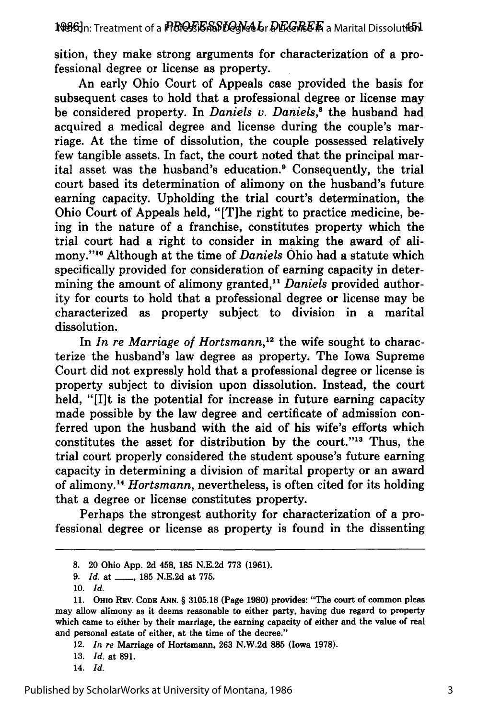sition, they make strong arguments for characterization of a professional degree or license as property.

An early Ohio Court of Appeals case provided the basis for subsequent cases to hold that a professional degree or license may be considered property. In *Daniels v. Daniels*,<sup>8</sup> the husband had acquired a medical degree and license during the couple's marriage. At the time of dissolution, the couple possessed relatively few tangible assets. In fact, the court noted that the principal marital asset was the husband's education.<sup>9</sup> Consequently, the trial court based its determination of alimony on the husband's future earning capacity. Upholding the trial court's determination, the Ohio Court of Appeals held, "[T]he right to practice medicine, being in the nature of a franchise, constitutes property which the trial court had a right to consider in making the award of alimony."'10 Although at the time of *Daniels* Ohio had a statute which specifically provided for consideration of earning capacity in determining the amount of alimony granted,<sup>11</sup> Daniels provided authority for courts to hold that a professional degree or license may be characterized as property subject to division in a marital dissolution.

In *In re Marriage of Hortsmann*,<sup>12</sup> the wife sought to characterize the husband's law degree as property. The Iowa Supreme Court did not expressly hold that a professional degree or license is property subject to division upon dissolution. Instead, the court held, "[I]t is the potential for increase in future earning capacity made possible by the law degree and certificate of admission conferred upon the husband with the aid of his wife's efforts which constitutes the asset for distribution by the court."<sup>13</sup> Thus, the trial court properly considered the student spouse's future earning capacity in determining a division of marital property or an award of alimony.1 *Hortsmann,* nevertheless, is often cited for its holding that a degree or license constitutes property.

Perhaps the strongest authority for characterization of a professional degree or license as property is found in the dissenting

**<sup>8.</sup>** 20 Ohio App. 2d 458, 185 N.E.2d 773 (1961).

<sup>9.</sup> *Id.* at \_\_\_\_, 185 N.E.2d at 775.

**<sup>10.</sup>** *Id.*

<sup>11.</sup> **Omo** REv. **CODE ANN.** § 3105.18 (Page 1980) provides: "The court of common pleas may allow alimony as it deems reasonable to either party, having due regard to property which came to either by their marriage, the earning capacity of either and the value of real and personal estate of either, at the time of the decree."

<sup>12.</sup> *In re* Marriage of Hortsmann, 263 N.W.2d **885** (Iowa 1978).

<sup>13.</sup> *Id.* at 891.

<sup>14.</sup> *Id.*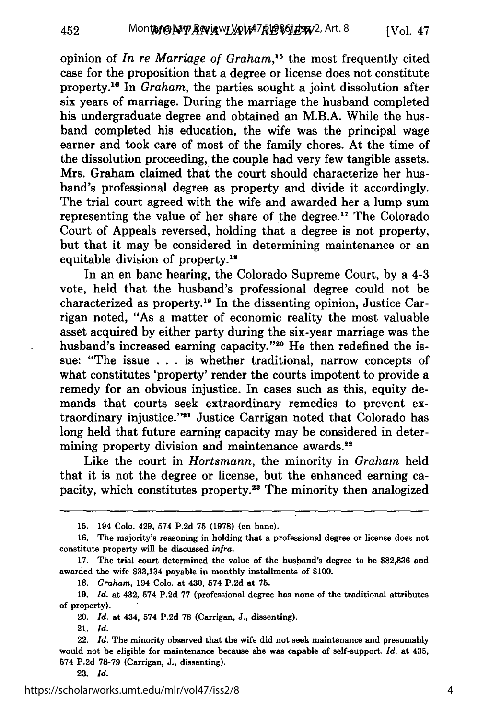opinion of *In re Marriage of Graham,15* the most frequently cited case for the proposition that a degree or license does not constitute property. 16 In *Graham,* the parties sought a joint dissolution after six years of marriage. During the marriage the husband completed his undergraduate degree and obtained an M.B.A. While the husband completed his education, the wife was the principal wage earner and took care of most of the family chores. At the time of the dissolution proceeding, the couple had very few tangible assets. Mrs. Graham claimed that the court should characterize her husband's professional degree as property and divide it accordingly. The trial court agreed with the wife and awarded her a lump sum representing the value of her share of the degree.<sup>17</sup> The Colorado Court of Appeals reversed, holding that a degree is not property, but that it may be considered in determining maintenance or an equitable division of property.18

In an en banc hearing, the Colorado Supreme Court, by a 4-3 vote, held that the husband's professional degree could not be characterized as property. 19 In the dissenting opinion, Justice Carrigan noted, "As a matter of economic reality the most valuable asset acquired by either party during the six-year marriage was the husband's increased earning capacity."<sup>20</sup> He then redefined the issue: "The issue . **.** . is whether traditional, narrow concepts of what constitutes 'property' render the courts impotent to provide a remedy for an obvious injustice. In cases such as this, equity demands that courts seek extraordinary remedies to prevent extraordinary injustice."<sup>21</sup> Justice Carrigan noted that Colorado has long held that future earning capacity may be considered in determining property division and maintenance awards.<sup>22</sup>

Like the court in *Hortsmann,* the minority in *Graham* held that it is not the degree or license, but the enhanced earning capacity, which constitutes property.<sup>23</sup> The minority then analogized

21. *Id.*

452

<sup>15. 194</sup> Colo. 429, 574 P.2d 75 (1978) (en banc).

<sup>16.</sup> The majority's reasoning in holding that a professional degree or license does not constitute property will be discussed *infra.*

<sup>17.</sup> The trial court determined the value of the husband's degree to be \$82,836 and awarded the wife \$33,134 payable in monthly installments of \$100.

**<sup>18.</sup>** *Graham,* 194 Colo. at 430, 574 P.2d at 75.

<sup>19.</sup> *Id.* at 432, 574 P.2d 77 (professional degree has none of the traditional attributes of property).

<sup>20.</sup> *Id.* at 434, 574 P.2d 78 (Carrigan, J., dissenting).

<sup>22.</sup> *Id.* The minority observed that the wife did not seek maintenance and presumably would not be eligible for maintenance because she was capable of self-support. *Id.* at 435, 574 P.2d 78-79 (Carrigan, J., dissenting).

<sup>23.</sup> *Id.*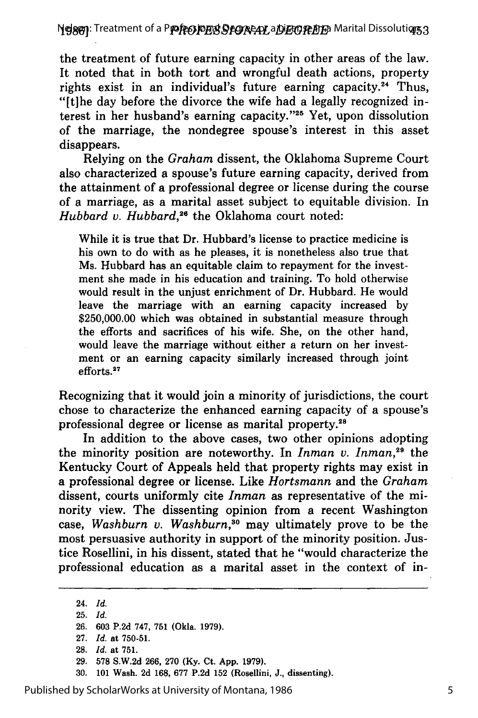**Nelson:** Treatment of a P**rofesional Degree or a Dina Professio**n Marital Dissoluti**q**ns

the treatment of future earning capacity in other areas of the law. It noted that in both tort and wrongful death actions, property rights exist in an individual's future earning capacity.<sup>24</sup> Thus, "[tihe day before the divorce the wife had a legally recognized interest in her husband's earning capacity."<sup>25</sup> Yet, upon dissolution of the marriage, the nondegree spouse's interest in this asset disappears.

Relying on the *Graham* dissent, the Oklahoma Supreme Court also characterized a spouse's future earning capacity, derived from the attainment of a professional degree or license during the course of a marriage, as a marital asset subject to equitable division. In *Hubbard v. Hubbard*,<sup>26</sup> the Oklahoma court noted:

While it is true that Dr. Hubbard's license to practice medicine is his own to do with as he pleases, it is nonetheless also true that Ms. Hubbard has an equitable claim to repayment for the investment she made in his education and training. To hold otherwise would result in the unjust enrichment of Dr. Hubbard. He would leave the marriage with an earning capacity increased by **\$250,000.00** which was obtained in substantial measure through the efforts and sacrifices of his wife. She, on the other hand, would leave the marriage without either a return on her investment or an earning capacity similarly increased through joint efforts.<sup>27</sup>

Recognizing that it would join a minority of jurisdictions, the court chose to characterize the enhanced earning capacity of a spouse's professional degree or license as marital property.<sup>28</sup>

In addition to the above cases, two other opinions adopting the minority position are noteworthy. In *Inman v. Inman*,<sup>29</sup> the Kentucky Court of Appeals held that property rights may exist in a professional degree or license. Like *Hortsmann* and the *Graham* dissent, courts uniformly cite *Inman* as representative of the minority view. The dissenting opinion from a recent Washington case, *Washburn v. Washburn,30* may ultimately prove to be the most persuasive authority in support of the minority position. Justice Rosellini, in his dissent, stated that he "would characterize the professional education as a marital asset in the context of in-

24. *Id.*

25. *Id.*

26. 603 P.2d 747, 751 (Okla. 1979).

30. 101 Wash. 2d 168, 677 P.2d 152 (Rosellini, J., dissenting).

Published by ScholarWorks at University of Montana, 1986

<sup>27.</sup> *Id.* at 750-51.

<sup>28.</sup> *Id.* at 751.

<sup>29. 578</sup> S.W.2d 266, 270 (Ky. Ct. App. 1979).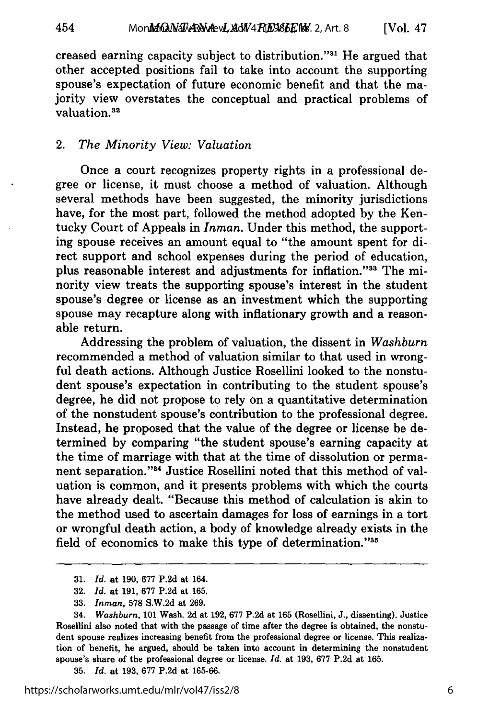Mon**ManANA RAM AW 4 REVELF NK**. 2, Art. 8 [Vol. **47**

creased earning capacity subject to distribution."<sup>31</sup> He argued that other accepted positions fail to take into account the supporting spouse's expectation of future economic benefit and that the majority view overstates the conceptual and practical problems of valuation.<sup>32</sup>

#### 2. *The Minority View: Valuation*

454

Once a court recognizes property rights in a professional degree or license, it must choose a method of valuation. Although several methods have been suggested, the minority jurisdictions have, for the most part, followed the method adopted by the Kentucky Court of Appeals in *Inman.* Under this method, the supporting spouse receives an amount equal to "the amount spent for direct support and school expenses during the period of education, plus reasonable interest and adjustments for inflation."<sup>33</sup> The minority view treats the supporting spouse's interest in the student spouse's degree or license as an investment which the supporting spouse may recapture along with inflationary growth and a reasonable return.

Addressing the problem of valuation, the dissent in *Washburn* recommended a method of valuation similar to that used in wrongful death actions. Although Justice Rosellini looked to the nonstudent spouse's expectation in contributing to the student spouse's degree, he did not propose to rely on a quantitative determination of the nonstudent spouse's contribution to the professional degree. Instead, he proposed that the value of the degree or license be determined by comparing "the student spouse's earning capacity at the time of marriage with that at the time of dissolution or permanent separation."<sup>34</sup> Justice Rosellini noted that this method of valuation is common, and it presents problems with which the courts have already dealt. "Because this method of calculation is akin to the method used to ascertain damages for loss of earnings in a tort or wrongful death action, a body of knowledge already exists in the field of economics to make this type of determination. '35

35. *Id.* at 193, 677 P.2d at 165-66.

<sup>31.</sup> *Id.* at 190, 677 P.2d at 164.

<sup>32.</sup> *Id.* at 191, 677 P.2d at 165.

<sup>33.</sup> *Inman,* 578 S.W.2d at 269.

<sup>34.</sup> *Washburn,* 101 Wash. 2d at 192, 677 P.2d at 165 (Rosellini, J., dissenting). Justice Rosellini also noted that with the passage of time after the degree is obtained, the nonstudent spouse realizes increasing benefit from the professional degree or license. This realization of benefit, he argued, should be taken into account in determining the nonstudent spouse's share of the professional degree or license. *Id.* at 193, 677 P.2d at 165.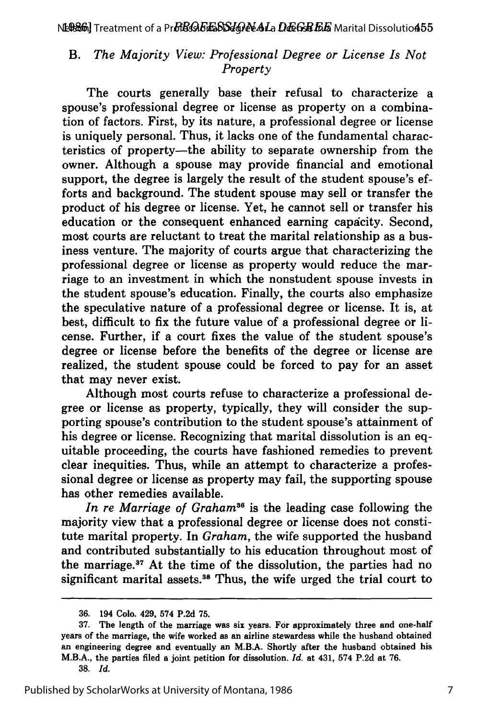#### *B. The Majority View: Professional Degree or License Is Not Property*

The courts generally base their refusal to characterize a spouse's professional degree or license as property on a combination of factors. First, by its nature, a professional degree or license is uniquely personal. Thus, it lacks one of the fundamental characteristics of property-the ability to separate ownership from the owner. Although a spouse may provide financial and emotional support, the degree is largely the result of the student spouse's efforts and background. The student spouse may sell or transfer the product of his degree or license. Yet, he cannot sell or transfer his education or the consequent enhanced earning capacity. Second, most courts are reluctant to treat the marital relationship as a business venture. The majority of courts argue that characterizing the professional degree or license as property would reduce the marriage to an investment in which the nonstudent spouse invests in the student spouse's education. Finally, the courts also emphasize the speculative nature of a professional degree or license. It is, at best, difficult to fix the future value of a professional degree or license. Further, if a court fixes the value of the student spouse's degree or license before the benefits of the degree or license are realized, the student spouse could be forced to pay for an asset that may never exist.

Although most courts refuse to characterize a professional degree or license as property, typically, they will consider the supporting spouse's contribution to the student spouse's attainment of his degree or license. Recognizing that marital dissolution is an equitable proceeding, the courts have fashioned remedies to prevent clear inequities. Thus, while an attempt to characterize a professional degree or license as property may fail, the supporting spouse has other remedies available.

*In re Marriage of Graham"6* is the leading case following the majority view that a professional degree or license does not constitute marital property. In *Graham,* the wife supported the husband and contributed substantially to his education throughout most of the marriage.<sup>37</sup> At the time of the dissolution, the parties had no significant marital assets.<sup>38</sup> Thus, the wife urged the trial court to

38. *Id.*

<sup>36. 194</sup> Colo. 429, 574 P.2d 75.

**<sup>37.</sup>** The length of the marriage was **six** years. For approximately three and one-half years of the marriage, the wife worked as an airline stewardess while the husband obtained an engineering degree and eventually an M.B.A. Shortly after the husband obtained his M.B.A., the parties filed a joint petition for dissolution. *Id.* at 431, 574 **P.2d** at **76.**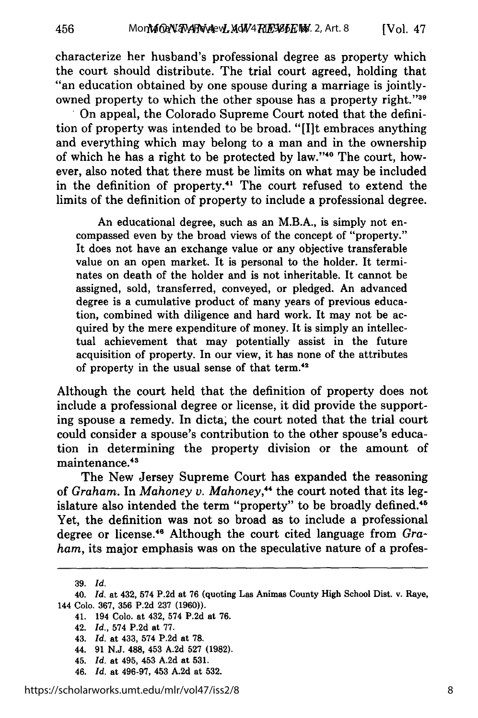characterize her husband's professional degree as property which the court should distribute. The trial court agreed, holding that "an education obtained by one spouse during a marriage is jointlyowned property to which the other spouse has a property right."39

**.** On appeal, the Colorado Supreme Court noted that the definition of property was intended to be broad. "[I]t embraces anything and everything which may belong to a man and in the ownership of which he has a right to be protected by law."<sup>40</sup> The court, however, also noted that there must be limits on what may be included in the definition of property." The court refused to extend the limits of the definition of property to include a professional degree.

An educational degree, such as an M.B.A., is simply not encompassed even by the broad views of the concept of "property." It does not have an exchange value or any objective transferable value on an open market. It is personal to the holder. It terminates on death of the holder and is not inheritable. It cannot be assigned, sold, transferred, conveyed, or pledged. An advanced degree is a cumulative product of many years of previous education, combined with diligence and hard work. It may not be acquired by the mere expenditure of money. It is simply an intellectual achievement that may potentially assist in the future acquisition of property. In our view, it has none of the attributes of property in the usual sense of that term.<sup>42</sup>

Although the court held that the definition of property does not include a professional degree or license, it did provide the supporting spouse a remedy. In dicta; the court noted that the trial court could consider a spouse's contribution to the other spouse's education in determining the property division or the amount of maintenance.<sup>43</sup>

The New Jersey Supreme Court has expanded the reasoning of *Graham.* In *Mahoney v. Mahoney,""* the court noted that its legislature also intended the term "property" to be broadly defined.<sup>45</sup> Yet, the definition was not so broad as to include a professional degree or license.46 Although the court cited language from *Graham,* its major emphasis was on the speculative nature of a profes-

456

<sup>39.</sup> *Id.*

<sup>40.</sup> *Id.* at 432, 574 P.2d at 76 (quoting Las Animas County High School Dist. v. Raye, 144 Colo. 367, 356 P.2d 237 (1960)).

<sup>41. 194</sup> Colo. at 432, 574 P.2d at 76.

<sup>42.</sup> *Id.,* 574 P.2d at 77.

<sup>43.</sup> *Id.* at 433, 574 P.2d at 78.

<sup>44. 91</sup> N.J. 488, 453 A.2d 527 **(1982).**

<sup>45.</sup> *Id.* at 495, 453 A.2d at 531.

<sup>46.</sup> *Id.* at 496-97, 453 A.2d at 532.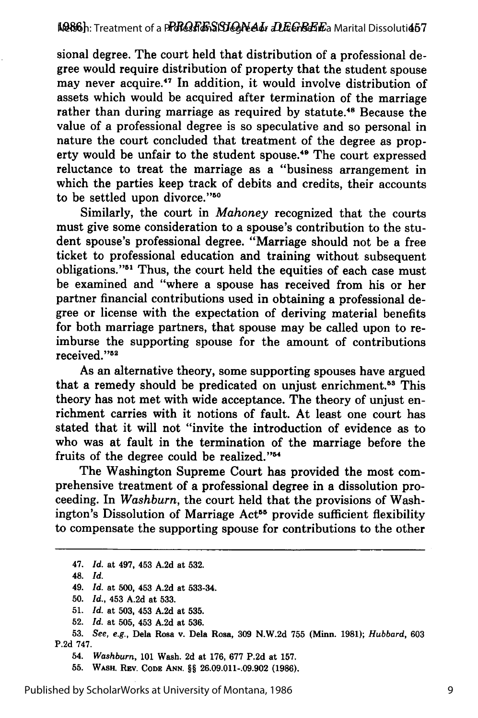sional degree. The court held that distribution of a professional degree would require distribution of property that the student spouse may never acquire.<sup>47</sup> In addition, it would involve distribution of assets which would be acquired after termination of the marriage rather than during marriage as required **by** statute. 48 Because the value of a professional degree is so speculative and so personal in nature the court concluded that treatment of the degree as property would be unfair to the student spouse.<sup>49</sup> The court expressed reluctance to treat the marriage as a "business arrangement in which the parties keep track of debits and credits, their accounts to be settled upon divorce."50

Similarly, the court in *Mahoney* recognized that the courts must give some consideration to a spouse's contribution to the student spouse's professional degree. "Marriage should not be a free ticket to professional education and training without subsequent obligations."51 Thus, the court held the equities of each case must be examined and "where a spouse has received from his or her partner financial contributions used in obtaining a professional degree or license with the expectation of deriving material benefits for both marriage partners, that spouse may be called upon to reimburse the supporting spouse for the amount of contributions received."<sup>52</sup>

As an alternative theory, some supporting spouses have argued that a remedy should be predicated on unjust enrichment.<sup>53</sup> This theory has not met with wide acceptance. The theory of unjust enrichment carries with it notions of fault. At least one court has stated that it will not "invite the introduction of evidence as to who was at fault in the termination of the marriage before the fruits of the degree could be realized."<sup>54</sup>

The Washington Supreme Court has provided the most comprehensive treatment of a professional degree in a dissolution proceeding. In *Washburn,* the court held that the provisions of Washington's Dissolution of Marriage Act<sup>55</sup> provide sufficient flexibility to compensate the supporting spouse for contributions to the other

- 47. *Id.* at 497, 453 **A.2d** at **532.**
- 48. *Id.*
- 49. *Id.* at **500,** 453 **A.2d** at **533-34.**
- **50.** *Id.,* 453 **A.2d** at **533.**
- **51.** *Id.* at **503,** 453 **A.2d** at **535.**
- **52.** *Id.* at **505,** 453 **A.2d** at **536.**
- **53.** *See, e.g.,* Dela Rosa v. Dela Rosa, **309 N.W.2d 755** (Minn. **1981);** *Hubbard,* **603 P.2d 747.**
	- 54. *Washburn,* **101** Wash. **2d** at **176, 677 P.2d** at **157.**

**55. WASH. REV. CODE ANN.** §§ **26.09.011-.09.902 (1986).**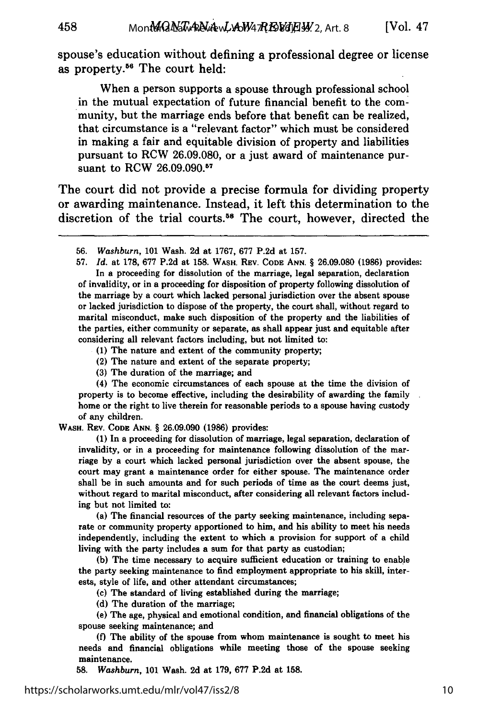spouse's education without defining a professional degree or license as property.56 The court held:

When a person supports a spouse through professional school in the mutual expectation of future financial benefit to the community, but the marriage ends before that benefit can be realized, that circumstance is a "relevant factor" which must be considered in making a fair and equitable division of property and liabilities pursuant to RCW 26.09.080, or a just award of maintenance pursuant to RCW 26.09.090.57

The court did not provide a precise formula for dividing property or awarding maintenance. Instead, it left this determination to the discretion of the trial courts.<sup>58</sup> The court, however, directed the

**57.** *Id.* at **178, 677 P.2d** at **158. WASH.** REV. **CODE ANN.** § **26.09.080 (1986)** provides: In a proceeding for dissolution of the marriage, legal separation, declaration of invalidity, or in a proceeding for disposition of property following dissolution of the marriage **by** a court which lacked personal jurisdiction over the absent spouse or lacked jurisdiction to dispose of the property, the court shall, without regard to marital misconduct, make such disposition of the property and the liabilities of the parties, either community or separate, as shall appear just and equitable after considering all relevant factors including, but not limited **to:**

**(1)** The nature and extent of the community property;

(2) The nature and extent of the separate property;

**(3)** The duration of the marriage; and

(4) The economic circumstances of each spouse at the time the division of property is to become effective, including the desirability of awarding the family home or the right to live therein for reasonable periods to a spouse having custody of any children.

**WASH. REV. CODE ANN.** § **26.09.090 (1986)** provides:

**(1)** In a proceeding for dissolution of marriage, legal separation, declaration of invalidity, or in a proceeding for maintenance following dissolution of the marriage **by** a court which lacked personal jurisdiction over the absent spouse, the court may grant a maintenance order for either spouse. The maintenance order shall be in such amounts and for such periods of time as the court deems just, without regard to marital misconduct, after considering all relevant factors including but not limited to:

(a) The financial resources of the party seeking maintenance, including separate or community property apportioned to him, and his ability to meet his needs independently, including the extent to which a provision for support of a child living with the party includes a sum for that party as custodian;

**(b)** The time necessary to acquire sufficient education or training to enable the party seeking maintenance to find employment appropriate to his skill, interests, style of life, and other attendant circumstances;

(c) The standard of living established during the marriage;

**(d)** The duration of the marriage;

**(e)** The age, physical and emotional condition, and financial obligations of the spouse seeking maintenance; and

**(f)** The ability of the spouse from whom maintenance is sought to meet his needs and financial obligations while meeting those of the spouse seeking maintenance.

**58.** *Washburn,* **101** Wash. **2d** at **179, 677 P.2d** at **158.**

<sup>56.</sup> *Washburn,* 101 Wash. 2d at 1767, 677 P.2d at 157.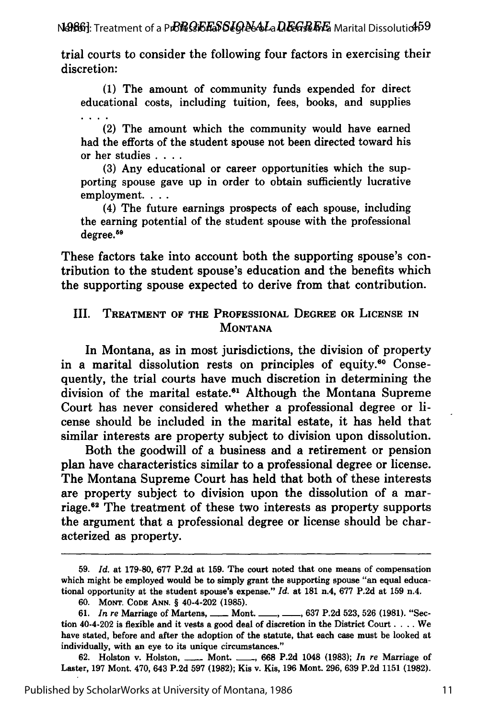**NASG]:** Treatment of a P**rCRO;EF&S[GRe&La DEGREFF&** Marital Dissolutio**45**9

trial courts to consider the following four factors in exercising their discretion:

(1) The amount of community funds expended for direct educational costs, including tuition, fees, books, and supplies

(2) The amount which the community would have earned had the efforts of the student spouse not been directed toward his or her studies **....**

(3) Any educational or career opportunities which the supporting spouse gave up in order to obtain sufficiently lucrative employment. . . .

(4) The future earnings prospects of each spouse, including the earning potential of the student spouse with the professional degree.<sup>59</sup>

These factors take into account both the supporting spouse's contribution to the student spouse's education and the benefits which the supporting spouse expected to derive from that contribution.

#### III. TREATMENT OF THE **PROFESSIONAL** DEGREE OR **LICENSE IN MONTANA**

In Montana, as in most jurisdictions, the division of property in a marital dissolution rests on principles of equity.<sup>60</sup> Consequently, the trial courts have much discretion in determining the division of the marital estate.<sup>61</sup> Although the Montana Supreme Court has never considered whether a professional degree or license should be included in the marital estate, it has held that similar interests are property subject to division upon dissolution.

Both the goodwill of a business and a retirement or pension plan have characteristics similar to a professional degree or license. The Montana Supreme Court has held that both of these interests are property subject to division upon the dissolution of a marriage.<sup>62</sup> The treatment of these two interests as property supports the argument that a professional degree or license should be characterized as property.

**<sup>59.</sup>** *Id.* at **179-80, 677 P.2d** at **159.** The court noted that one means of compensation which might be employed would be to simply grant the supporting spouse "an equal educational opportunity at the student spouse's expense." *Id.* at **181** n.4, **677 P.2d** at **159** n.4.

**<sup>60.</sup> MONT. CODE ANN.** § 40-4-202 **(1985).**

**<sup>61.</sup>** *In re* Marriage of Martens, **-** Mont. **637 P.2d 523, 526 (1981).** "Section 40-4-202 is flexible and it vests a good deal of discretion in the District Court. . **..** We have stated, before and after the adoption of the statute, that each case must be looked at individually, with an eye to its unique circumstances."

**<sup>62.</sup>** Holston v. Holston, **-** Mont. **- , 668 P.2d** 1048 **(1983);** *In re* Marriage of Laster, **197** Mont. 470, 643 **P.2d 597 (1982);** Kis v. Kis, **196** Mont. **296, 639 P.2d 1151 (1982).**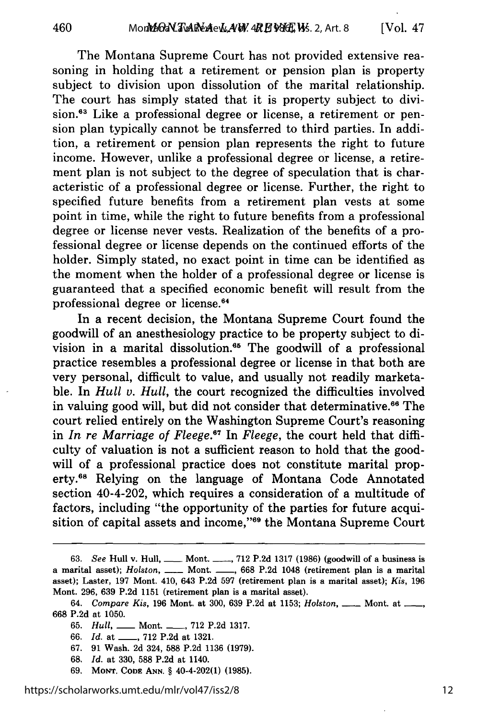The Montana Supreme Court has not provided extensive reasoning in holding that a retirement or pension plan is property subject to division upon dissolution of the marital relationship. The court has simply stated that it is property subject to division.<sup>63</sup> Like a professional degree or license, a retirement or pension plan typically cannot be transferred to third parties. In addition, a retirement or pension plan represents the right to future income. However, unlike a professional degree or license, a retirement plan is not subject to the degree of speculation that is characteristic of a professional degree or license. Further, the right to specified future benefits from a retirement plan vests at some point in time, while the right to future benefits from a professional degree or license never vests. Realization of the benefits of a professional degree or license depends on the continued efforts of the holder. Simply stated, no exact point in time can be identified as the moment when the holder of a professional degree or license is guaranteed that a specified economic benefit will result from the professional degree or license.<sup>64</sup>

In a recent decision, the Montana Supreme Court found the goodwill of an anesthesiology practice to be property subject to division in a marital dissolution.<sup>65</sup> The goodwill of a professional practice resembles a professional degree or license in that both are very personal, difficult to value, and usually not readily marketable. In *Hull v. Hull,* the court recognized the difficulties involved in valuing good will, but did not consider that determinative.<sup>66</sup> The court relied entirely on the Washington Supreme Court's reasoning in *In re Marriage of Fleege.*<sup>67</sup> In *Fleege*, the court held that difficulty of valuation is not a sufficient reason to hold that the goodwill of a professional practice does not constitute marital property."8 Relying on the language of Montana Code Annotated section 40-4-202, which requires a consideration of a multitude of factors, including "the opportunity of the parties for future acquisition of capital assets and income,"<sup>69</sup> the Montana Supreme Court

- 68. *Id.* at 330, 588 P.2d at 1140.
- 69. **MONT. CODE ANN.** § 40-4-202(1) (1985).

<sup>63.</sup> *See* Hull v. Hull, <u>**-- Mont. \_-, 712 P.2d 1317** (1986) (goodwill of a business is</u> a marital asset); *Holston*, **\_\_\_** Mont. **\_\_\_**, 668 P.2d 1048 (retirement plan is a marital asset); Laster, 197 Mont. 410, 643 P.2d 597 (retirement plan is a marital asset); *Kis,* 196 Mont. 296, 639 P.2d 1151 (retirement plan is a marital asset).

<sup>64.</sup> *Compare Kis,* 196 Mont. at 300, 639 P.2d at 1153; *Holston, \_\_* Mont. at \_\_, 668 P.2d at 1050.

<sup>65.</sup> *Hull,* **-** Mont. **\_\_,** 712 P.2d 1317.

**<sup>66.</sup>** *Id.* at **-,** 712 P.2d at 1321.

<sup>67. 91</sup> Wash. 2d 324, 588 P.2d 1136 (1979).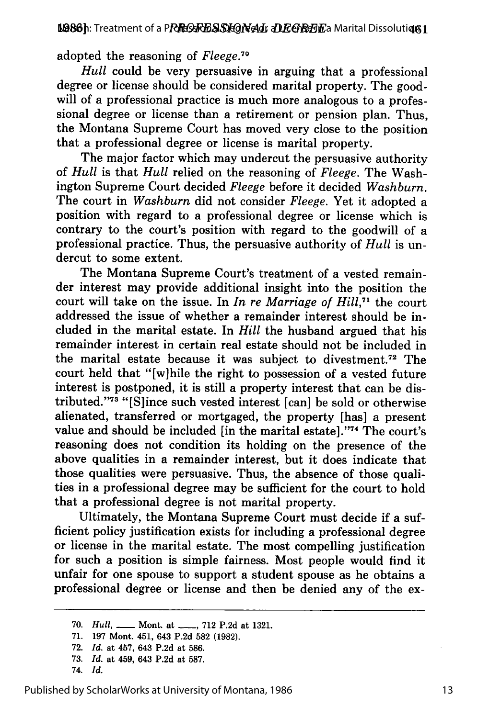adopted the reasoning of *Fleege.70*

*Hull* could be very persuasive in arguing that a professional degree or license should be considered marital property. The goodwill of a professional practice is much more analogous to a professional degree or license than a retirement or pension plan. Thus, the Montana Supreme Court has moved very close to the position that a professional degree or license is marital property.

The major factor which may undercut the persuasive authority of *Hull* is that *Hull* relied on the reasoning of *Fleege.* The Washington Supreme Court decided *Fleege* before it decided *Washburn.* The court in *Washburn* did not consider *Fleege.* Yet it adopted a position with regard to a professional degree or license which is contrary to the court's position with regard to the goodwill of a professional practice. Thus, the persuasive authority of *Hull* is undercut to some extent.

The Montana Supreme Court's treatment of a vested remainder interest may provide additional insight into the position the court will take on the issue. In *In re Marriage of Hill,71* the court addressed the issue of whether a remainder interest should be included in the marital estate. In *Hill* the husband argued that his remainder interest in certain real estate should not be included in the marital estate because it was subject to divestment.72 The court held that "[w]hile the right to possession of a vested future interest is postponed, it is still a property interest that can be distributed. '73 "[Slince such vested interest [can] be sold or otherwise alienated, transferred or mortgaged, the property [has] a present value and should be included [in the marital estate]. '74 The court's reasoning does not condition its holding on the presence of the above qualities in a remainder interest, but it does indicate that those qualities were persuasive. Thus, the absence of those qualities in a professional degree may be sufficient for the court to hold that a professional degree is not marital property.

Ultimately, the Montana Supreme Court must decide if a sufficient policy justification exists for including a professional degree or license in the marital estate. The most compelling justification for such a position is simple fairness. Most people would find it unfair for one spouse to support a student spouse as he obtains a professional degree or license and then be denied any of the ex-

<sup>70.</sup> *Hull*, \_\_\_\_ Mont. at \_\_\_\_, 712 P.2d at 1321.

**<sup>71. 197</sup>** Mont. 451, 643 **P.2d 582 (1982).**

**<sup>72.</sup>** *Id.* at 457, 643 **P.2d** at **586.**

**<sup>73.</sup>** *Id.* at 459, 643 **P.2d** at **587.**

<sup>74.</sup> *Id.*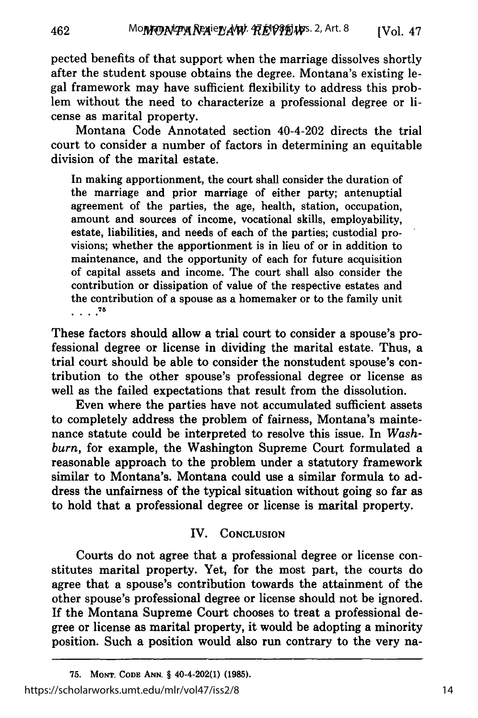pected benefits of that support when the marriage dissolves shortly after the student spouse obtains the degree. Montana's existing legal framework may have sufficient flexibility to address this problem without the need to characterize a professional degree or license as marital property.

Montana Code Annotated section 40-4-202 directs the trial court to consider a number of factors in determining an equitable division of the marital estate.

In making apportionment, the court shall consider the duration of the marriage and prior marriage of either party; antenuptial agreement of the parties, the age, health, station, occupation, amount and sources of income, vocational skills, employability, estate, liabilities, and needs of each of the parties; custodial provisions; whether the apportionment is in lieu of or in addition to maintenance, and the opportunity of each for future acquisition of capital assets and income. The court shall also consider the contribution or dissipation of value of the respective estates and the contribution of a spouse as a homemaker or to the family unit **75**

These factors should allow a trial court to consider a spouse's professional degree or license in dividing the marital estate. Thus, a trial court should be able to consider the nonstudent spouse's contribution to the other spouse's professional degree or license as well as the failed expectations that result from the dissolution.

Even where the parties have not accumulated sufficient assets to completely address the problem of fairness, Montana's maintenance statute could be interpreted to resolve this issue. In *Washburn,* for example, the Washington Supreme Court formulated a reasonable approach to the problem under a statutory framework similar to Montana's. Montana could use a similar formula to address the unfairness of the typical situation without going so far as to hold that a professional degree or license is marital property.

### IV. **CONCLUSION**

Courts do not agree that a professional degree or license constitutes marital property. Yet, for the most part, the courts do agree that a spouse's contribution towards the attainment of the other spouse's professional degree or license should not be ignored. If the Montana Supreme Court chooses to treat a professional degree or license as marital property, it would be adopting a minority position. Such a position would also run contrary to the very na-

**<sup>75.</sup> MONT. CODE ANN.** § **40-4-202(1) (1985).** https://scholarworks.umt.edu/mlr/vol47/iss2/8